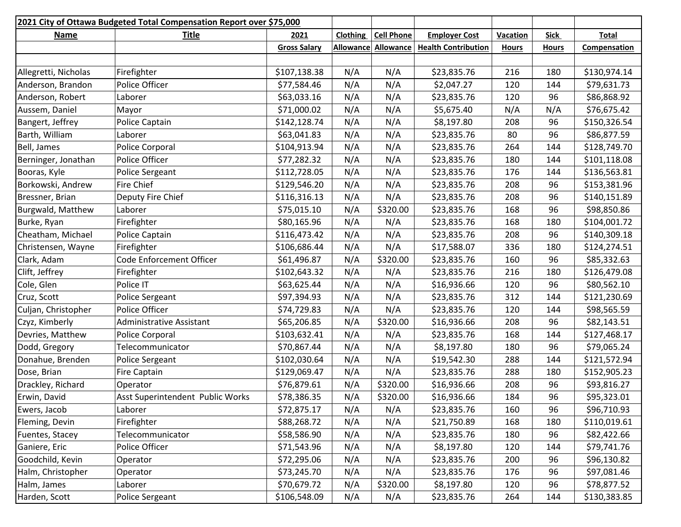| 2021 City of Ottawa Budgeted Total Compensation Report over \$75,000 |                                  |                     |                 |                   |                            |              |              |              |
|----------------------------------------------------------------------|----------------------------------|---------------------|-----------------|-------------------|----------------------------|--------------|--------------|--------------|
| <b>Name</b>                                                          | <b>Title</b>                     | 2021                | <b>Clothing</b> | <b>Cell Phone</b> | <b>Employer Cost</b>       | Vacation     | <b>Sick</b>  | <b>Total</b> |
|                                                                      |                                  | <b>Gross Salary</b> | Allowance       | Allowance         | <b>Health Contribution</b> | <b>Hours</b> | <b>Hours</b> | Compensation |
|                                                                      |                                  |                     |                 |                   |                            |              |              |              |
| Allegretti, Nicholas                                                 | Firefighter                      | \$107,138.38        | N/A             | N/A               | \$23,835.76                | 216          | 180          | \$130,974.14 |
| Anderson, Brandon                                                    | Police Officer                   | \$77,584.46         | N/A             | N/A               | \$2,047.27                 | 120          | 144          | \$79,631.73  |
| Anderson, Robert                                                     | Laborer                          | \$63,033.16         | N/A             | N/A               | \$23,835.76                | 120          | 96           | \$86,868.92  |
| Aussem, Daniel                                                       | Mayor                            | \$71,000.02         | N/A             | N/A               | \$5,675.40                 | N/A          | N/A          | \$76,675.42  |
| Bangert, Jeffrey                                                     | Police Captain                   | \$142,128.74        | N/A             | N/A               | \$8,197.80                 | 208          | 96           | \$150,326.54 |
| Barth, William                                                       | Laborer                          | \$63,041.83         | N/A             | N/A               | \$23,835.76                | 80           | 96           | \$86,877.59  |
| Bell, James                                                          | <b>Police Corporal</b>           | \$104,913.94        | N/A             | N/A               | \$23,835.76                | 264          | 144          | \$128,749.70 |
| Berninger, Jonathan                                                  | Police Officer                   | \$77,282.32         | N/A             | N/A               | \$23,835.76                | 180          | 144          | \$101,118.08 |
| Booras, Kyle                                                         | Police Sergeant                  | \$112,728.05        | N/A             | N/A               | \$23,835.76                | 176          | 144          | \$136,563.81 |
| Borkowski, Andrew                                                    | Fire Chief                       | \$129,546.20        | N/A             | N/A               | \$23,835.76                | 208          | 96           | \$153,381.96 |
| Bressner, Brian                                                      | Deputy Fire Chief                | \$116,316.13        | N/A             | N/A               | \$23,835.76                | 208          | 96           | \$140,151.89 |
| Burgwald, Matthew                                                    | Laborer                          | \$75,015.10         | N/A             | \$320.00          | \$23,835.76                | 168          | 96           | \$98,850.86  |
| Burke, Ryan                                                          | Firefighter                      | \$80,165.96         | N/A             | N/A               | \$23,835.76                | 168          | 180          | \$104,001.72 |
| Cheatham, Michael                                                    | Police Captain                   | \$116,473.42        | N/A             | N/A               | \$23,835.76                | 208          | 96           | \$140,309.18 |
| Christensen, Wayne                                                   | Firefighter                      | \$106,686.44        | N/A             | N/A               | \$17,588.07                | 336          | 180          | \$124,274.51 |
| Clark, Adam                                                          | Code Enforcement Officer         | \$61,496.87         | N/A             | \$320.00          | \$23,835.76                | 160          | 96           | \$85,332.63  |
| Clift, Jeffrey                                                       | Firefighter                      | \$102,643.32        | N/A             | N/A               | \$23,835.76                | 216          | 180          | \$126,479.08 |
| Cole, Glen                                                           | Police IT                        | \$63,625.44         | N/A             | N/A               | \$16,936.66                | 120          | 96           | \$80,562.10  |
| Cruz, Scott                                                          | Police Sergeant                  | \$97,394.93         | N/A             | N/A               | \$23,835.76                | 312          | 144          | \$121,230.69 |
| Culjan, Christopher                                                  | Police Officer                   | \$74,729.83         | N/A             | N/A               | \$23,835.76                | 120          | 144          | \$98,565.59  |
| Czyz, Kimberly                                                       | Administrative Assistant         | \$65,206.85         | N/A             | \$320.00          | \$16,936.66                | 208          | 96           | \$82,143.51  |
| Devries, Matthew                                                     | Police Corporal                  | \$103,632.41        | N/A             | N/A               | \$23,835.76                | 168          | 144          | \$127,468.17 |
| Dodd, Gregory                                                        | Telecommunicator                 | \$70,867.44         | N/A             | N/A               | \$8,197.80                 | 180          | 96           | \$79,065.24  |
| Donahue, Brenden                                                     | <b>Police Sergeant</b>           | \$102,030.64        | N/A             | N/A               | \$19,542.30                | 288          | 144          | \$121,572.94 |
| Dose, Brian                                                          | <b>Fire Captain</b>              | \$129,069.47        | N/A             | N/A               | \$23,835.76                | 288          | 180          | \$152,905.23 |
| Drackley, Richard                                                    | Operator                         | \$76,879.61         | N/A             | \$320.00          | \$16,936.66                | 208          | 96           | \$93,816.27  |
| Erwin, David                                                         | Asst Superintendent Public Works | \$78,386.35         | N/A             | \$320.00          | \$16,936.66                | 184          | 96           | \$95,323.01  |
| Ewers, Jacob                                                         | Laborer                          | \$72,875.17         | N/A             | N/A               | \$23,835.76                | 160          | 96           | \$96,710.93  |
| Fleming, Devin                                                       | Firefighter                      | \$88,268.72         | N/A             | N/A               | \$21,750.89                | 168          | 180          | \$110,019.61 |
| Fuentes, Stacey                                                      | Telecommunicator                 | \$58,586.90         | N/A             | N/A               | \$23,835.76                | 180          | 96           | \$82,422.66  |
| Ganiere, Eric                                                        | Police Officer                   | \$71,543.96         | N/A             | N/A               | \$8,197.80                 | 120          | 144          | \$79,741.76  |
| Goodchild, Kevin                                                     | Operator                         | \$72,295.06         | N/A             | N/A               | \$23,835.76                | 200          | 96           | \$96,130.82  |
| Halm, Christopher                                                    | Operator                         | \$73,245.70         | N/A             | N/A               | \$23,835.76                | 176          | 96           | \$97,081.46  |
| Halm, James                                                          | Laborer                          | \$70,679.72         | N/A             | \$320.00          | \$8,197.80                 | 120          | 96           | \$78,877.52  |
| Harden, Scott                                                        | Police Sergeant                  | \$106,548.09        | N/A             | N/A               | \$23,835.76                | 264          | 144          | \$130,383.85 |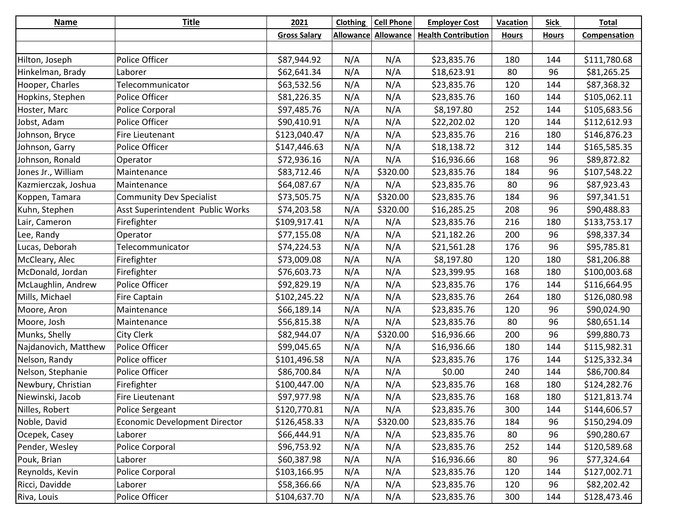| <b>Name</b>          | <b>Title</b>                         | 2021                | <b>Clothing</b> | <b>Cell Phone</b>          | <b>Employer Cost</b>       | <b>Vacation</b> | <b>Sick</b>  | <b>Total</b> |
|----------------------|--------------------------------------|---------------------|-----------------|----------------------------|----------------------------|-----------------|--------------|--------------|
|                      |                                      | <b>Gross Salary</b> |                 | <b>Allowance Allowance</b> | <b>Health Contribution</b> | <b>Hours</b>    | <b>Hours</b> | Compensation |
|                      |                                      |                     |                 |                            |                            |                 |              |              |
| Hilton, Joseph       | Police Officer                       | \$87,944.92         | N/A             | N/A                        | \$23,835.76                | 180             | 144          | \$111,780.68 |
| Hinkelman, Brady     | Laborer                              | \$62,641.34         | N/A             | N/A                        | \$18,623.91                | 80              | 96           | \$81,265.25  |
| Hooper, Charles      | Telecommunicator                     | \$63,532.56         | N/A             | N/A                        | \$23,835.76                | 120             | 144          | \$87,368.32  |
| Hopkins, Stephen     | Police Officer                       | \$81,226.35         | N/A             | N/A                        | \$23,835.76                | 160             | 144          | \$105,062.11 |
| Hoster, Marc         | Police Corporal                      | \$97,485.76         | N/A             | N/A                        | \$8,197.80                 | 252             | 144          | \$105,683.56 |
| Jobst, Adam          | Police Officer                       | \$90,410.91         | N/A             | N/A                        | \$22,202.02                | 120             | 144          | \$112,612.93 |
| Johnson, Bryce       | Fire Lieutenant                      | \$123,040.47        | N/A             | N/A                        | \$23,835.76                | 216             | 180          | \$146,876.23 |
| Johnson, Garry       | Police Officer                       | \$147,446.63        | N/A             | N/A                        | \$18,138.72                | 312             | 144          | \$165,585.35 |
| Johnson, Ronald      | Operator                             | \$72,936.16         | N/A             | N/A                        | \$16,936.66                | 168             | 96           | \$89,872.82  |
| Jones Jr., William   | Maintenance                          | \$83,712.46         | N/A             | \$320.00                   | \$23,835.76                | 184             | 96           | \$107,548.22 |
| Kazmierczak, Joshua  | Maintenance                          | \$64,087.67         | N/A             | N/A                        | \$23,835.76                | 80              | 96           | \$87,923.43  |
| Koppen, Tamara       | <b>Community Dev Specialist</b>      | \$73,505.75         | N/A             | \$320.00                   | \$23,835.76                | 184             | 96           | \$97,341.51  |
| Kuhn, Stephen        | Asst Superintendent Public Works     | \$74,203.58         | N/A             | \$320.00                   | \$16,285.25                | 208             | 96           | \$90,488.83  |
| Lair, Cameron        | Firefighter                          | \$109,917.41        | N/A             | N/A                        | \$23,835.76                | 216             | 180          | \$133,753.17 |
| Lee, Randy           | Operator                             | \$77,155.08         | N/A             | N/A                        | \$21,182.26                | 200             | 96           | \$98,337.34  |
| Lucas, Deborah       | Telecommunicator                     | \$74,224.53         | N/A             | N/A                        | \$21,561.28                | 176             | 96           | \$95,785.81  |
| McCleary, Alec       | Firefighter                          | \$73,009.08         | N/A             | N/A                        | \$8,197.80                 | 120             | 180          | \$81,206.88  |
| McDonald, Jordan     | Firefighter                          | \$76,603.73         | N/A             | N/A                        | \$23,399.95                | 168             | 180          | \$100,003.68 |
| McLaughlin, Andrew   | Police Officer                       | \$92,829.19         | N/A             | N/A                        | \$23,835.76                | 176             | 144          | \$116,664.95 |
| Mills, Michael       | <b>Fire Captain</b>                  | \$102,245.22        | N/A             | N/A                        | \$23,835.76                | 264             | 180          | \$126,080.98 |
| Moore, Aron          | Maintenance                          | \$66,189.14         | N/A             | N/A                        | \$23,835.76                | 120             | 96           | \$90,024.90  |
| Moore, Josh          | Maintenance                          | \$56,815.38         | N/A             | N/A                        | \$23,835.76                | 80              | 96           | \$80,651.14  |
| Munks, Shelly        | <b>City Clerk</b>                    | \$82,944.07         | N/A             | \$320.00                   | \$16,936.66                | 200             | 96           | \$99,880.73  |
| Najdanovich, Matthew | Police Officer                       | \$99,045.65         | N/A             | N/A                        | \$16,936.66                | 180             | 144          | \$115,982.31 |
| Nelson, Randy        | Police officer                       | \$101,496.58        | N/A             | N/A                        | \$23,835.76                | 176             | 144          | \$125,332.34 |
| Nelson, Stephanie    | Police Officer                       | \$86,700.84         | N/A             | N/A                        | \$0.00                     | 240             | 144          | \$86,700.84  |
| Newbury, Christian   | Firefighter                          | \$100,447.00        | N/A             | N/A                        | \$23,835.76                | 168             | 180          | \$124,282.76 |
| Niewinski, Jacob     | Fire Lieutenant                      | \$97,977.98         | N/A             | N/A                        | \$23,835.76                | 168             | 180          | \$121,813.74 |
| Nilles, Robert       | Police Sergeant                      | \$120,770.81        | N/A             | N/A                        | \$23,835.76                | 300             | 144          | \$144,606.57 |
| Noble, David         | <b>Economic Development Director</b> | \$126,458.33        | N/A             | \$320.00                   | \$23,835.76                | 184             | 96           | \$150,294.09 |
| Ocepek, Casey        | Laborer                              | \$66,444.91         | N/A             | N/A                        | \$23,835.76                | 80              | 96           | \$90,280.67  |
| Pender, Wesley       | Police Corporal                      | \$96,753.92         | N/A             | N/A                        | \$23,835.76                | 252             | 144          | \$120,589.68 |
| Pouk, Brian          | Laborer                              | \$60,387.98         | N/A             | N/A                        | \$16,936.66                | 80              | 96           | \$77,324.64  |
| Reynolds, Kevin      | Police Corporal                      | \$103,166.95        | N/A             | N/A                        | \$23,835.76                | 120             | 144          | \$127,002.71 |
| Ricci, Davidde       | Laborer                              | \$58,366.66         | N/A             | N/A                        | \$23,835.76                | 120             | 96           | \$82,202.42  |
| Riva, Louis          | Police Officer                       | \$104,637.70        | N/A             | N/A                        | \$23,835.76                | 300             | 144          | \$128,473.46 |